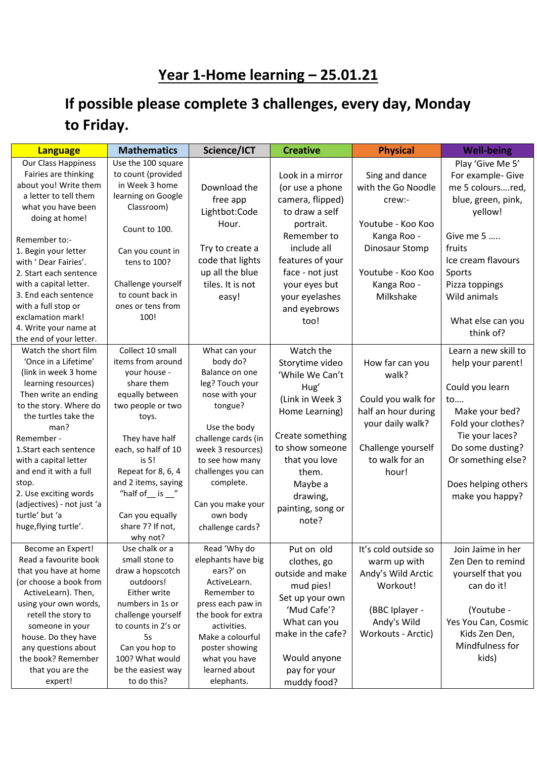## **Year 1-Home learning – 25.01.21**

## **If possible please complete 3 challenges, every day, Monday to Friday.**

| <b>Language</b>                                 | <b>Mathematics</b>           | Science/ICT                           | <b>Creative</b>   | <b>Physical</b>      | <b>Well-being</b>    |
|-------------------------------------------------|------------------------------|---------------------------------------|-------------------|----------------------|----------------------|
| Our Class Happiness                             | Use the 100 square           |                                       |                   |                      | Play 'Give Me 5'     |
| Fairies are thinking                            | to count (provided           |                                       | Look in a mirror  | Sing and dance       | For example- Give    |
| about you! Write them                           | in Week 3 home               | Download the                          | (or use a phone   | with the Go Noodle   | me 5 coloursred,     |
| a letter to tell them                           | learning on Google           | free app                              | camera, flipped)  | crew:-               | blue, green, pink,   |
| what you have been                              | Classroom)                   | Lightbot:Code                         | to draw a self    |                      | yellow!              |
| doing at home!                                  |                              |                                       |                   |                      |                      |
|                                                 | Count to 100.                | Hour.                                 | portrait.         | Youtube - Koo Koo    |                      |
| Remember to:-                                   |                              |                                       | Remember to       | Kanga Roo -          | Give me 5            |
| 1. Begin your letter                            | Can you count in             | Try to create a                       | include all       | Dinosaur Stomp       | fruits               |
| with 'Dear Fairies'.                            | tens to 100?                 | code that lights                      | features of your  |                      | Ice cream flavours   |
| 2. Start each sentence                          |                              | up all the blue                       | face - not just   | Youtube - Koo Koo    | Sports               |
| with a capital letter.                          | Challenge yourself           | tiles. It is not                      | your eyes but     | Kanga Roo -          | Pizza toppings       |
| 3. End each sentence                            | to count back in             | easy!                                 | your eyelashes    | Milkshake            | Wild animals         |
| with a full stop or                             | ones or tens from            |                                       | and eyebrows      |                      |                      |
| exclamation mark!                               | 100!                         |                                       | too!              |                      | What else can you    |
| 4. Write your name at                           |                              |                                       |                   |                      | think of?            |
| the end of your letter.                         |                              |                                       |                   |                      |                      |
| Watch the short film                            | Collect 10 small             | What can your                         | Watch the         |                      | Learn a new skill to |
| 'Once in a Lifetime'                            | items from around            | body do?                              | Storytime video   | How far can you      | help your parent!    |
| (link in week 3 home                            | your house -                 | Balance on one                        | 'While We Can't   | walk?                |                      |
| learning resources)                             | share them                   | leg? Touch your                       | Hug'              |                      | Could you learn      |
| Then write an ending                            | equally between              | nose with your                        | (Link in Week 3   | Could you walk for   | to                   |
| to the story. Where do                          | two people or two            | tongue?                               | Home Learning)    | half an hour during  | Make your bed?       |
| the turtles take the                            | toys.                        |                                       |                   | your daily walk?     | Fold your clothes?   |
| man?                                            |                              | Use the body                          | Create something  |                      | Tie your laces?      |
| Remember -                                      | They have half               | challenge cards (in                   | to show someone   | Challenge yourself   | Do some dusting?     |
| 1.Start each sentence                           | each, so half of 10<br>is 5! | week 3 resources)                     | that you love     | to walk for an       | Or something else?   |
| with a capital letter<br>and end it with a full | Repeat for 8, 6, 4           | to see how many<br>challenges you can |                   |                      |                      |
|                                                 | and 2 items, saying          | complete.                             | them.             | hour!                |                      |
| stop.<br>2. Use exciting words                  | "half of $\_$ is $\_$ "      |                                       | Maybe a           |                      | Does helping others  |
| (adjectives) - not just 'a                      |                              | Can you make your                     | drawing,          |                      | make you happy?      |
| turtle' but 'a                                  | Can you equally              | own body                              | painting, song or |                      |                      |
| huge, flying turtle'.                           | share 7? If not,             | challenge cards?                      | note?             |                      |                      |
|                                                 | why not?                     |                                       |                   |                      |                      |
| Become an Expert!                               | Use chalk or a               | Read 'Why do                          | Put on old        | It's cold outside so | Join Jaime in her    |
| Read a favourite book                           | small stone to               | elephants have big                    | clothes, go       | warm up with         | Zen Den to remind    |
| that you have at home                           | draw a hopscotch             | ears?' on                             | outside and make  |                      |                      |
| (or choose a book from                          | outdoors!                    | ActiveLearn.                          |                   | Andy's Wild Arctic   | yourself that you    |
| ActiveLearn). Then,                             | Either write                 | Remember to                           | mud pies!         | Workout!             | can do it!           |
| using your own words,                           | numbers in 1s or             | press each paw in                     | Set up your own   |                      |                      |
| retell the story to                             | challenge yourself           | the book for extra                    | 'Mud Cafe'?       | (BBC Iplayer -       | (Youtube -           |
| someone in your                                 | to counts in 2's or          | activities.                           | What can you      | Andy's Wild          | Yes You Can, Cosmic  |
| house. Do they have                             | 5s                           | Make a colourful                      | make in the cafe? | Workouts - Arctic)   | Kids Zen Den,        |
| any questions about                             | Can you hop to               | poster showing                        |                   |                      | Mindfulness for      |
| the book? Remember                              | 100? What would              | what you have                         | Would anyone      |                      | kids)                |
| that you are the                                | be the easiest way           | learned about                         | pay for your      |                      |                      |
| expert!                                         | to do this?                  | elephants.                            | muddy food?       |                      |                      |